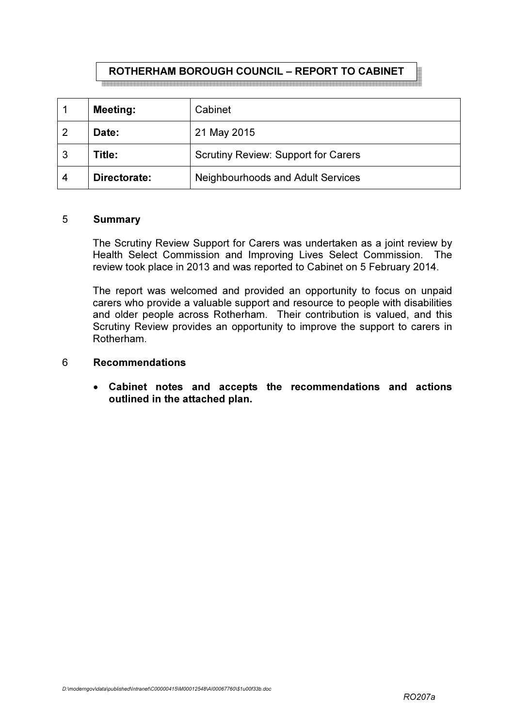#### ROTHERHAM BOROUGH COUNCIL – REPORT TO CABINET<br>이 이 사람은 그 사람들은 그 사람들은 그 사람들은 그 사람들을 하면 이 사람들을 하면 이 사람들을 하면 이 사람들을 하면 이 사람들을 것이다. 그 사람들은 그 사람들의 사람들의 사람들을 것이다.

|   | <b>Meeting:</b> | Cabinet                                    |
|---|-----------------|--------------------------------------------|
| 2 | Date:           | 21 May 2015                                |
| 3 | Title:          | <b>Scrutiny Review: Support for Carers</b> |
| 4 | Directorate:    | <b>Neighbourhoods and Adult Services</b>   |

### 5 Summary

The Scrutiny Review Support for Carers was undertaken as a joint review by Health Select Commission and Improving Lives Select Commission. The review took place in 2013 and was reported to Cabinet on 5 February 2014.

The report was welcomed and provided an opportunity to focus on unpaid carers who provide a valuable support and resource to people with disabilities and older people across Rotherham. Their contribution is valued, and this Scrutiny Review provides an opportunity to improve the support to carers in Rotherham.

### 6 Recommendations

• Cabinet notes and accepts the recommendations and actions outlined in the attached plan.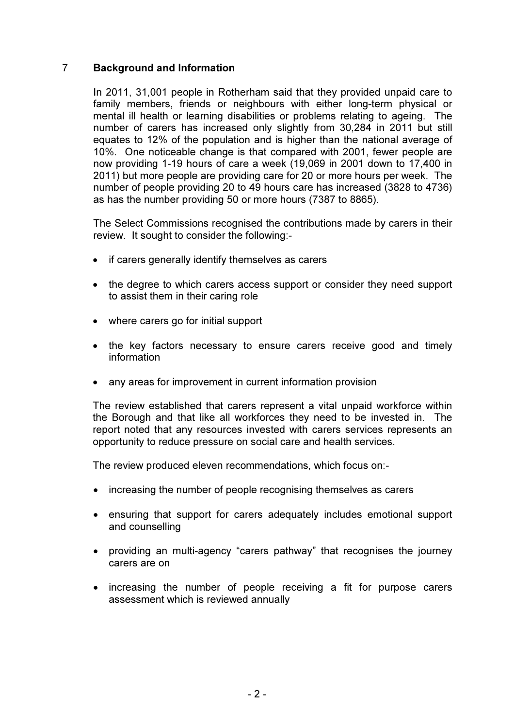# 7 Background and Information

In 2011, 31,001 people in Rotherham said that they provided unpaid care to family members, friends or neighbours with either long-term physical or mental ill health or learning disabilities or problems relating to ageing. The number of carers has increased only slightly from 30,284 in 2011 but still equates to 12% of the population and is higher than the national average of 10%. One noticeable change is that compared with 2001, fewer people are now providing 1-19 hours of care a week (19,069 in 2001 down to 17,400 in 2011) but more people are providing care for 20 or more hours per week. The number of people providing 20 to 49 hours care has increased (3828 to 4736) as has the number providing 50 or more hours (7387 to 8865).

The Select Commissions recognised the contributions made by carers in their review. It sought to consider the following:-

- if carers generally identify themselves as carers
- the degree to which carers access support or consider they need support to assist them in their caring role
- where carers go for initial support
- the key factors necessary to ensure carers receive good and timely information
- any areas for improvement in current information provision

The review established that carers represent a vital unpaid workforce within the Borough and that like all workforces they need to be invested in. The report noted that any resources invested with carers services represents an opportunity to reduce pressure on social care and health services.

The review produced eleven recommendations, which focus on:-

- increasing the number of people recognising themselves as carers
- ensuring that support for carers adequately includes emotional support and counselling
- providing an multi-agency "carers pathway" that recognises the journey carers are on
- increasing the number of people receiving a fit for purpose carers assessment which is reviewed annually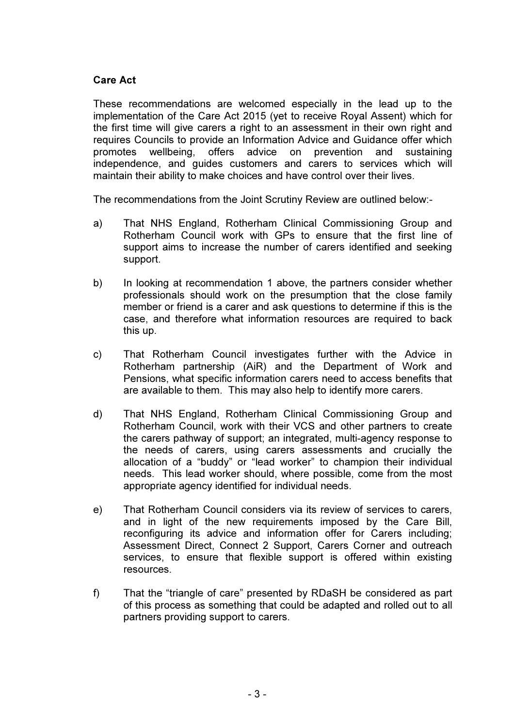# Care Act

These recommendations are welcomed especially in the lead up to the implementation of the Care Act 2015 (yet to receive Royal Assent) which for the first time will give carers a right to an assessment in their own right and requires Councils to provide an Information Advice and Guidance offer which promotes wellbeing, offers advice on prevention and sustaining independence, and guides customers and carers to services which will maintain their ability to make choices and have control over their lives.

The recommendations from the Joint Scrutiny Review are outlined below:-

- a) That NHS England, Rotherham Clinical Commissioning Group and Rotherham Council work with GPs to ensure that the first line of support aims to increase the number of carers identified and seeking support.
- b) In looking at recommendation 1 above, the partners consider whether professionals should work on the presumption that the close family member or friend is a carer and ask questions to determine if this is the case, and therefore what information resources are required to back this up.
- c) That Rotherham Council investigates further with the Advice in Rotherham partnership (AiR) and the Department of Work and Pensions, what specific information carers need to access benefits that are available to them. This may also help to identify more carers.
- d) That NHS England, Rotherham Clinical Commissioning Group and Rotherham Council, work with their VCS and other partners to create the carers pathway of support; an integrated, multi-agency response to the needs of carers, using carers assessments and crucially the allocation of a "buddy" or "lead worker" to champion their individual needs. This lead worker should, where possible, come from the most appropriate agency identified for individual needs.
- e) That Rotherham Council considers via its review of services to carers, and in light of the new requirements imposed by the Care Bill, reconfiguring its advice and information offer for Carers including; Assessment Direct, Connect 2 Support, Carers Corner and outreach services, to ensure that flexible support is offered within existing resources.
- f) That the "triangle of care" presented by RDaSH be considered as part of this process as something that could be adapted and rolled out to all partners providing support to carers.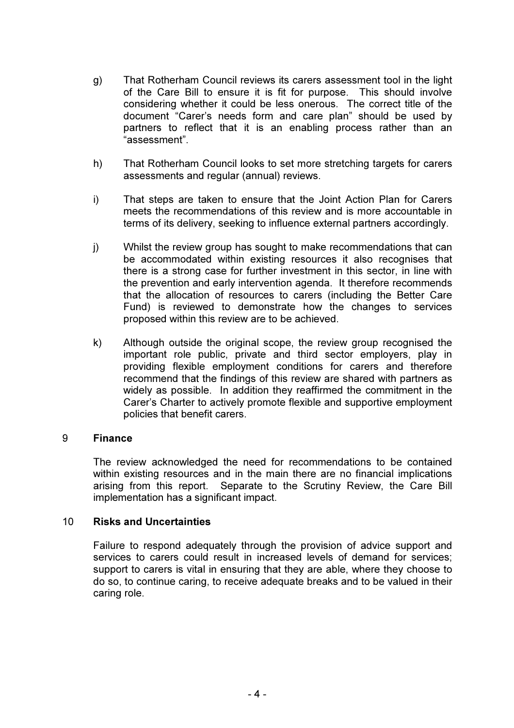- g) That Rotherham Council reviews its carers assessment tool in the light of the Care Bill to ensure it is fit for purpose. This should involve considering whether it could be less onerous. The correct title of the document "Carer's needs form and care plan" should be used by partners to reflect that it is an enabling process rather than an "assessment".
- h) That Rotherham Council looks to set more stretching targets for carers assessments and regular (annual) reviews.
- i) That steps are taken to ensure that the Joint Action Plan for Carers meets the recommendations of this review and is more accountable in terms of its delivery, seeking to influence external partners accordingly.
- j) Whilst the review group has sought to make recommendations that can be accommodated within existing resources it also recognises that there is a strong case for further investment in this sector, in line with the prevention and early intervention agenda. It therefore recommends that the allocation of resources to carers (including the Better Care Fund) is reviewed to demonstrate how the changes to services proposed within this review are to be achieved.
- k) Although outside the original scope, the review group recognised the important role public, private and third sector employers, play in providing flexible employment conditions for carers and therefore recommend that the findings of this review are shared with partners as widely as possible. In addition they reaffirmed the commitment in the Carer's Charter to actively promote flexible and supportive employment policies that benefit carers.

## 9 Finance

 The review acknowledged the need for recommendations to be contained within existing resources and in the main there are no financial implications arising from this report. Separate to the Scrutiny Review, the Care Bill implementation has a significant impact.

## 10 Risks and Uncertainties

Failure to respond adequately through the provision of advice support and services to carers could result in increased levels of demand for services; support to carers is vital in ensuring that they are able, where they choose to do so, to continue caring, to receive adequate breaks and to be valued in their caring role.